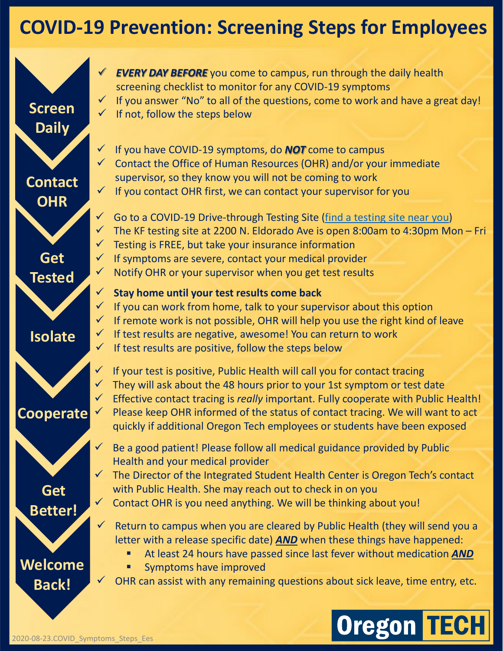## **COVID-19 Prevention: Screening Steps for Employees**



*EVERY DAY BEFORE* you come to campus, run through the daily health screening checklist to monitor for any COVID-19 symptoms  $\checkmark$  If you answer "No" to all of the questions, come to work and have a great day! **Screen**  $\overrightarrow{f}$  if not, follow the steps below

> If you have COVID-19 symptoms, do *NOT* come to campus  $\checkmark$  Contact the Office of Human Resources (OHR) and/or your immediate supervisor, so they know you will not be coming to work  $\checkmark$  If you contact OHR first, we can contact your supervisor for you

 $\checkmark$  Go to a COVID-19 Drive-through Testing Site ([find a testing site near you\)](https://govstatus.egov.com/or-oha-covid-19-testing)  $\checkmark$  The KF testing site at 2200 N. Eldorado Ave is open 8:00am to 4:30pm Mon – Fri  $\checkmark$  Testing is FREE, but take your insurance information  $\checkmark$  If symptoms are severe, contact your medical provider Notify OHR or your supervisor when you get test results

#### **Stay home until your test results come back**

- $\checkmark$  If you can work from home, talk to your supervisor about this option
- $\checkmark$  If remote work is not possible, OHR will help you use the right kind of leave
- $\checkmark$  If test results are negative, awesome! You can return to work
- $\checkmark$  If test results are positive, follow the steps below

 If your test is positive, Public Health will call you for contact tracing They will ask about the 48 hours prior to your 1st symptom or test date Effective contact tracing is *really* important. Fully cooperate with Public Health!  $\checkmark$  Please keep OHR informed of the status of contact tracing. We will want to act quickly if additional Oregon Tech employees or students have been exposed

- Be a good patient! Please follow all medical guidance provided by Public Health and your medical provider
- $\checkmark$  The Director of the Integrated Student Health Center is Oregon Tech's contact with Public Health. She may reach out to check in on you

 $\checkmark$  Contact OHR is you need anything. We will be thinking about you!

- $\checkmark$  Return to campus when you are cleared by Public Health (they will send you a letter with a release specific date) *AND* when these things have happened:
	- At least 24 hours have passed since last fever without medication *AND*
	- Symptoms have improved
	- OHR can assist with any remaining questions about sick leave, time entry, etc.

# **Oregon TECH**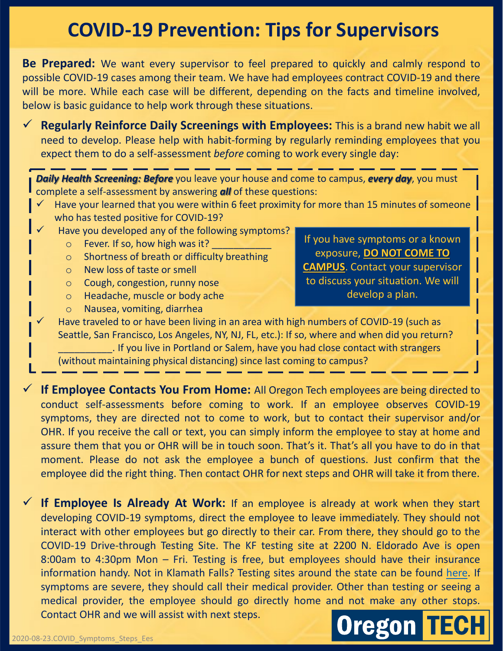### **COVID-19 Prevention: Tips for Supervisors**

**Be Prepared:** We want every supervisor to feel prepared to quickly and calmly respond to possible COVID-19 cases among their team. We have had employees contract COVID-19 and there will be more. While each case will be different, depending on the facts and timeline involved, below is basic guidance to help work through these situations.

 **Regularly Reinforce Daily Screenings with Employees:** This is a brand new habit we all need to develop. Please help with habit-forming by regularly reminding employees that you expect them to do a self-assessment *before* coming to work every single day:

*Daily Health Screening: Before* you leave your house and come to campus, *every day*, you must complete a self-assessment by answering *all* of these questions:

- Have your learned that you were within 6 feet proximity for more than 15 minutes of someone who has tested positive for COVID-19?
- Have you developed any of the following symptoms?
	- $\circ$  Fever. If so, how high was it?
	- o Shortness of breath or difficulty breathing
	- o New loss of taste or smell
	- o Cough, congestion, runny nose
	- o Headache, muscle or body ache
	- o Nausea, vomiting, diarrhea

If you have symptoms or a known exposure, **DO NOT COME TO CAMPUS**. Contact your supervisor to discuss your situation. We will develop a plan.

 Have traveled to or have been living in an area with high numbers of COVID-19 (such as Seattle, San Francisco, Los Angeles, NY, NJ, FL, etc.): If so, where and when did you return? \_\_\_\_\_\_\_\_\_\_. If you live in Portland or Salem, have you had close contact with strangers (without maintaining physical distancing) since last coming to campus?

 **If Employee Contacts You From Home:** All Oregon Tech employees are being directed to conduct self-assessments before coming to work. If an employee observes COVID-19 symptoms, they are directed not to come to work, but to contact their supervisor and/or OHR. If you receive the call or text, you can simply inform the employee to stay at home and assure them that you or OHR will be in touch soon. That's it. That's all you have to do in that moment. Please do not ask the employee a bunch of questions. Just confirm that the employee did the right thing. Then contact OHR for next steps and OHR will take it from there.

 **If Employee Is Already At Work:** If an employee is already at work when they start developing COVID-19 symptoms, direct the employee to leave immediately. They should not interact with other employees but go directly to their car. From there, they should go to the COVID-19 Drive-through Testing Site. The KF testing site at 2200 N. Eldorado Ave is open 8:00am to 4:30pm Mon – Fri. Testing is free, but employees should have their insurance information handy. Not in Klamath Falls? Testing sites around the state can be found [here.](mailto:https://govstatus.egov.com/or-oha-covid-19-testing) If symptoms are severe, they should call their medical provider. Other than testing or seeing a medical provider, the employee should go directly home and not make any other stops. Contact OHR and we will assist with next steps.